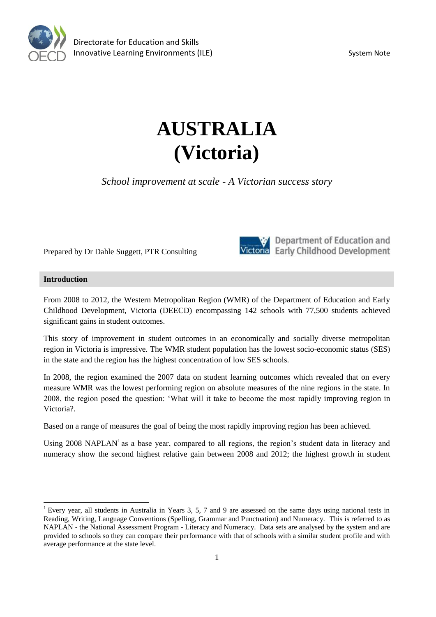

# **AUSTRALIA (Victoria)**

*School improvement at scale - A Victorian success story*

Prepared by Dr Dahle Suggett, PTR Consulting



Department of Education and Victoria Early Childhood Development

### **Introduction**

From 2008 to 2012, the Western Metropolitan Region (WMR) of the Department of Education and Early Childhood Development, Victoria (DEECD) encompassing 142 schools with 77,500 students achieved significant gains in student outcomes.

This story of improvement in student outcomes in an economically and socially diverse metropolitan region in Victoria is impressive. The WMR student population has the lowest socio-economic status (SES) in the state and the region has the highest concentration of low SES schools.

In 2008, the region examined the 2007 data on student learning outcomes which revealed that on every measure WMR was the lowest performing region on absolute measures of the nine regions in the state. In 2008, the region posed the question: 'What will it take to become the most rapidly improving region in Victoria?.

Based on a range of measures the goal of being the most rapidly improving region has been achieved.

Using 2008 NAPLAN<sup>1</sup> as a base year, compared to all regions, the region's student data in literacy and numeracy show the second highest relative gain between 2008 and 2012; the highest growth in student

<sup>&</sup>lt;sup>1</sup> Every year, all students in Australia in Years 3, 5, 7 and 9 are assessed on the same days using national tests in Reading, Writing, Language Conventions (Spelling, Grammar and Punctuation) and Numeracy. This is referred to as NAPLAN - the National Assessment Program - Literacy and Numeracy. Data sets are analysed by the system and are provided to schools so they can compare their performance with that of schools with a similar student profile and with average performance at the state level.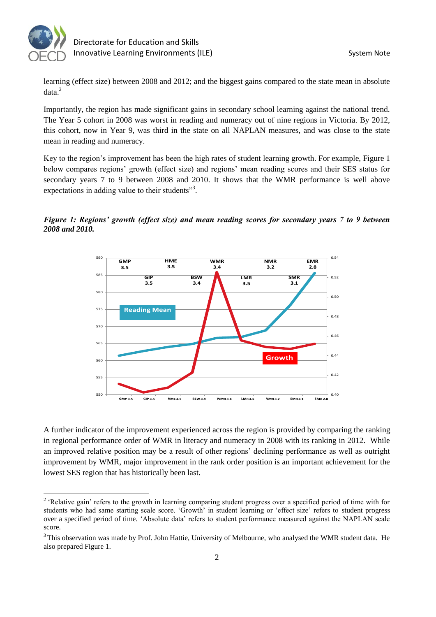

learning (effect size) between 2008 and 2012; and the biggest gains compared to the state mean in absolute  $data.<sup>2</sup>$ 

Importantly, the region has made significant gains in secondary school learning against the national trend. The Year 5 cohort in 2008 was worst in reading and numeracy out of nine regions in Victoria. By 2012, this cohort, now in Year 9, was third in the state on all NAPLAN measures, and was close to the state mean in reading and numeracy.

Key to the region's improvement has been the high rates of student learning growth. For example, Figure 1 below compares regions' growth (effect size) and regions' mean reading scores and their SES status for secondary years 7 to 9 between 2008 and 2010. It shows that the WMR performance is well above expectations in adding value to their students"<sup>3</sup>.





A further indicator of the improvement experienced across the region is provided by comparing the ranking in regional performance order of WMR in literacy and numeracy in 2008 with its ranking in 2012. While an improved relative position may be a result of other regions' declining performance as well as outright improvement by WMR, major improvement in the rank order position is an important achievement for the lowest SES region that has historically been last.

<sup>&</sup>lt;sup>2</sup> 'Relative gain' refers to the growth in learning comparing student progress over a specified period of time with for students who had same starting scale score. 'Growth' in student learning or 'effect size' refers to student progress over a specified period of time. 'Absolute data' refers to student performance measured against the NAPLAN scale score.

<sup>&</sup>lt;sup>3</sup> This observation was made by Prof. John Hattie, University of Melbourne, who analysed the WMR student data. He also prepared Figure 1.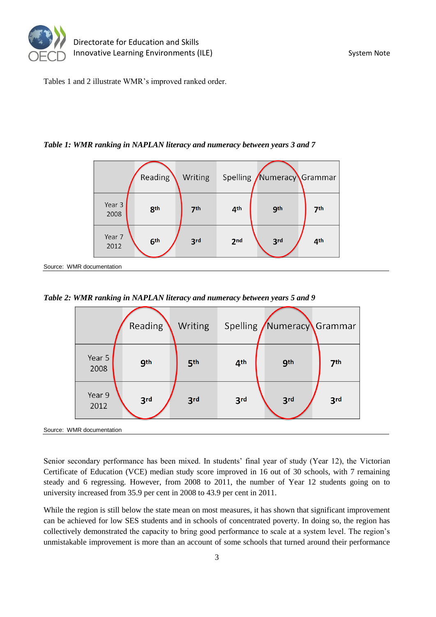

Source: WMR

Tables 1 and 2 illustrate WMR's improved ranked order.

*Table 1: WMR ranking in NAPLAN literacy and numeracy between years 3 and 7* 

|               |                | Reading         | Writing         |                 | Spelling Numeracy Grammar |                 |  |  |
|---------------|----------------|-----------------|-----------------|-----------------|---------------------------|-----------------|--|--|
|               | Year 3<br>2008 | 8 <sup>th</sup> | 7 <sup>th</sup> | 4 <sup>th</sup> | <b>gth</b>                | 7 <sup>th</sup> |  |  |
|               | Year 7<br>2012 | 6 <sup>th</sup> | 3 <sub>rd</sub> | 2 <sub>nd</sub> | 3 <sub>rd</sub>           | 4 <sup>th</sup> |  |  |
| documentation |                |                 |                 |                 |                           |                 |  |  |

*Table 2: WMR ranking in NAPLAN literacy and numeracy between years 5 and 9* 

|                           |                | Reading    | Writing |                 | Spelling Numeracy Grammar |                 |  |  |
|---------------------------|----------------|------------|---------|-----------------|---------------------------|-----------------|--|--|
|                           | Year 5<br>2008 | <b>gth</b> | 5th     | 4 <sup>th</sup> | <b>gth</b>                | 7 <sup>th</sup> |  |  |
|                           | Year 9<br>2012 | 3rd        | 3rd     | 3rd             | 3rd                       | 3rd             |  |  |
| Source: WMR documentation |                |            |         |                 |                           |                 |  |  |

Senior secondary performance has been mixed. In students' final year of study (Year 12), the Victorian Certificate of Education (VCE) median study score improved in 16 out of 30 schools, with 7 remaining steady and 6 regressing. However, from 2008 to 2011, the number of Year 12 students going on to university increased from 35.9 per cent in 2008 to 43.9 per cent in 2011.

While the region is still below the state mean on most measures, it has shown that significant improvement can be achieved for low SES students and in schools of concentrated poverty. In doing so, the region has collectively demonstrated the capacity to bring good performance to scale at a system level. The region's unmistakable improvement is more than an account of some schools that turned around their performance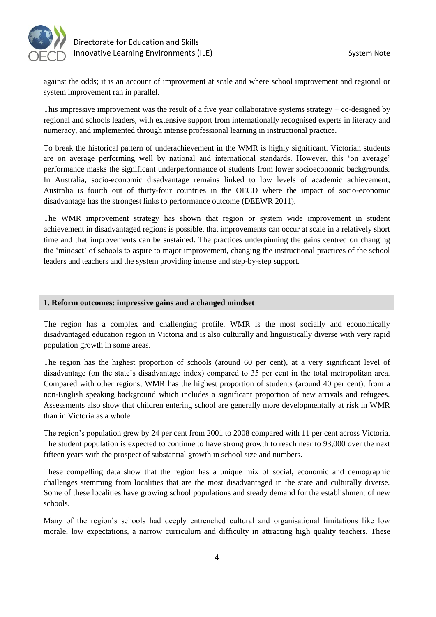

against the odds; it is an account of improvement at scale and where school improvement and regional or system improvement ran in parallel.

This impressive improvement was the result of a five year collaborative systems strategy – co-designed by regional and schools leaders, with extensive support from internationally recognised experts in literacy and numeracy, and implemented through intense professional learning in instructional practice.

To break the historical pattern of underachievement in the WMR is highly significant. Victorian students are on average performing well by national and international standards. However, this 'on average' performance masks the significant underperformance of students from lower socioeconomic backgrounds. In Australia, socio-economic disadvantage remains linked to low levels of academic achievement; Australia is fourth out of thirty-four countries in the OECD where the impact of socio-economic disadvantage has the strongest links to performance outcome (DEEWR 2011).

The WMR improvement strategy has shown that region or system wide improvement in student achievement in disadvantaged regions is possible, that improvements can occur at scale in a relatively short time and that improvements can be sustained. The practices underpinning the gains centred on changing the 'mindset' of schools to aspire to major improvement, changing the instructional practices of the school leaders and teachers and the system providing intense and step-by-step support.

#### **1. Reform outcomes: impressive gains and a changed mindset**

The region has a complex and challenging profile. WMR is the most socially and economically disadvantaged education region in Victoria and is also culturally and linguistically diverse with very rapid population growth in some areas.

The region has the highest proportion of schools (around 60 per cent), at a very significant level of disadvantage (on the state's disadvantage index) compared to 35 per cent in the total metropolitan area. Compared with other regions, WMR has the highest proportion of students (around 40 per cent), from a non-English speaking background which includes a significant proportion of new arrivals and refugees. Assessments also show that children entering school are generally more developmentally at risk in WMR than in Victoria as a whole.

The region's population grew by 24 per cent from 2001 to 2008 compared with 11 per cent across Victoria. The student population is expected to continue to have strong growth to reach near to 93,000 over the next fifteen years with the prospect of substantial growth in school size and numbers.

These compelling data show that the region has a unique mix of social, economic and demographic challenges stemming from localities that are the most disadvantaged in the state and culturally diverse. Some of these localities have growing school populations and steady demand for the establishment of new schools.

Many of the region's schools had deeply entrenched cultural and organisational limitations like low morale, low expectations, a narrow curriculum and difficulty in attracting high quality teachers. These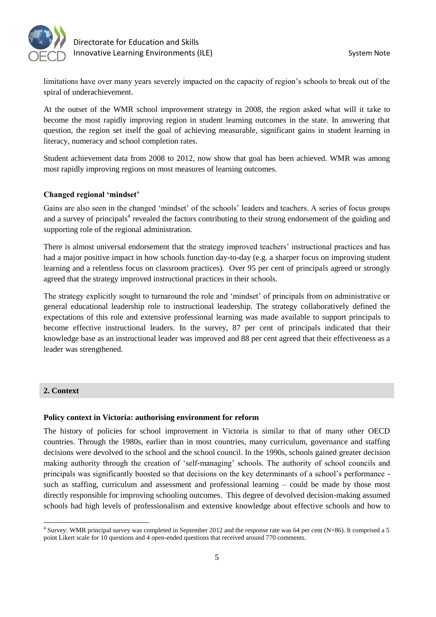

limitations have over many years severely impacted on the capacity of region's schools to break out of the spiral of underachievement.

At the outset of the WMR school improvement strategy in 2008, the region asked what will it take to become the most rapidly improving region in student learning outcomes in the state. In answering that question, the region set itself the goal of achieving measurable, significant gains in student learning in literacy, numeracy and school completion rates.

Student achievement data from 2008 to 2012, now show that goal has been achieved. WMR was among most rapidly improving regions on most measures of learning outcomes.

### **Changed regional 'mindset'**

Gains are also seen in the changed 'mindset' of the schools' leaders and teachers. A series of focus groups and a survey of principals<sup>4</sup> revealed the factors contributing to their strong endorsement of the guiding and supporting role of the regional administration.

There is almost universal endorsement that the strategy improved teachers' instructional practices and has had a major positive impact in how schools function day-to-day (e.g. a sharper focus on improving student learning and a relentless focus on classroom practices). Over 95 per cent of principals agreed or strongly agreed that the strategy improved instructional practices in their schools.

The strategy explicitly sought to turnaround the role and 'mindset' of principals from on administrative or general educational leadership role to instructional leadership. The strategy collaboratively defined the expectations of this role and extensive professional learning was made available to support principals to become effective instructional leaders. In the survey, 87 per cent of principals indicated that their knowledge base as an instructional leader was improved and 88 per cent agreed that their effectiveness as a leader was strengthened.

#### **2. Context**

 $\overline{a}$ 

#### **Policy context in Victoria: authorising environment for reform**

The history of policies for school improvement in Victoria is similar to that of many other OECD countries. Through the 1980s, earlier than in most countries, many curriculum, governance and staffing decisions were devolved to the school and the school council. In the 1990s, schools gained greater decision making authority through the creation of 'self-managing' schools. The authority of school councils and principals was significantly boosted so that decisions on the key determinants of a school's performance such as staffing, curriculum and assessment and professional learning – could be made by those most directly responsible for improving schooling outcomes. This degree of devolved decision-making assumed schools had high levels of professionalism and extensive knowledge about effective schools and how to

<sup>&</sup>lt;sup>4</sup> Survey: WMR principal survey was completed in September 2012 and the response rate was 64 per cent (N=86). It comprised a 5 point Likert scale for 10 questions and 4 open-ended questions that received around 770 comments.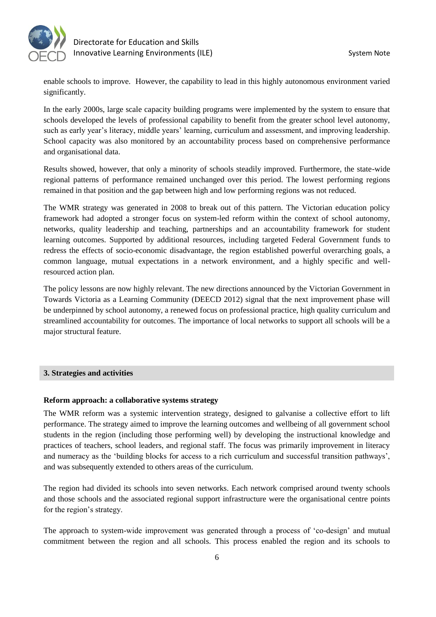

enable schools to improve. However, the capability to lead in this highly autonomous environment varied significantly.

In the early 2000s, large scale capacity building programs were implemented by the system to ensure that schools developed the levels of professional capability to benefit from the greater school level autonomy, such as early year's literacy, middle years' learning, curriculum and assessment, and improving leadership. School capacity was also monitored by an accountability process based on comprehensive performance and organisational data.

Results showed, however, that only a minority of schools steadily improved. Furthermore, the state-wide regional patterns of performance remained unchanged over this period. The lowest performing regions remained in that position and the gap between high and low performing regions was not reduced.

The WMR strategy was generated in 2008 to break out of this pattern. The Victorian education policy framework had adopted a stronger focus on system-led reform within the context of school autonomy, networks, quality leadership and teaching, partnerships and an accountability framework for student learning outcomes. Supported by additional resources, including targeted Federal Government funds to redress the effects of socio-economic disadvantage, the region established powerful overarching goals, a common language, mutual expectations in a network environment, and a highly specific and wellresourced action plan.

The policy lessons are now highly relevant. The new directions announced by the Victorian Government in Towards Victoria as a Learning Community (DEECD 2012) signal that the next improvement phase will be underpinned by school autonomy, a renewed focus on professional practice, high quality curriculum and streamlined accountability for outcomes. The importance of local networks to support all schools will be a major structural feature.

#### **3. Strategies and activities**

#### **Reform approach: a collaborative systems strategy**

The WMR reform was a systemic intervention strategy, designed to galvanise a collective effort to lift performance. The strategy aimed to improve the learning outcomes and wellbeing of all government school students in the region (including those performing well) by developing the instructional knowledge and practices of teachers, school leaders, and regional staff. The focus was primarily improvement in literacy and numeracy as the 'building blocks for access to a rich curriculum and successful transition pathways', and was subsequently extended to others areas of the curriculum.

The region had divided its schools into seven networks. Each network comprised around twenty schools and those schools and the associated regional support infrastructure were the organisational centre points for the region's strategy.

The approach to system-wide improvement was generated through a process of 'co-design' and mutual commitment between the region and all schools. This process enabled the region and its schools to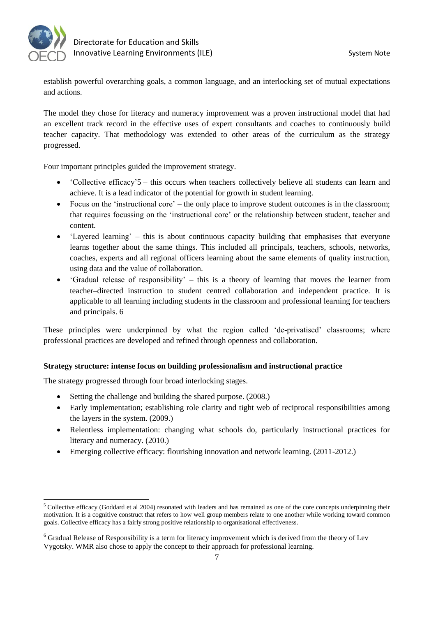

establish powerful overarching goals, a common language, and an interlocking set of mutual expectations and actions.

The model they chose for literacy and numeracy improvement was a proven instructional model that had an excellent track record in the effective uses of expert consultants and coaches to continuously build teacher capacity. That methodology was extended to other areas of the curriculum as the strategy progressed.

Four important principles guided the improvement strategy.

- 'Collective efficacy'5 this occurs when teachers collectively believe all students can learn and achieve. It is a lead indicator of the potential for growth in student learning.
- Focus on the 'instructional core' the only place to improve student outcomes is in the classroom; that requires focussing on the 'instructional core' or the relationship between student, teacher and content.
- 'Layered learning' this is about continuous capacity building that emphasises that everyone learns together about the same things. This included all principals, teachers, schools, networks, coaches, experts and all regional officers learning about the same elements of quality instruction, using data and the value of collaboration.
- 'Gradual release of responsibility' this is a theory of learning that moves the learner from teacher–directed instruction to student centred collaboration and independent practice. It is applicable to all learning including students in the classroom and professional learning for teachers and principals. 6

These principles were underpinned by what the region called 'de-privatised' classrooms; where professional practices are developed and refined through openness and collaboration.

# **Strategy structure: intense focus on building professionalism and instructional practice**

The strategy progressed through four broad interlocking stages.

- Setting the challenge and building the shared purpose. (2008.)
- Early implementation; establishing role clarity and tight web of reciprocal responsibilities among the layers in the system. (2009.)
- Relentless implementation: changing what schools do, particularly instructional practices for literacy and numeracy. (2010.)
- Emerging collective efficacy: flourishing innovation and network learning. (2011-2012.)

 $\overline{a}$ <sup>5</sup> Collective efficacy (Goddard et al 2004) resonated with leaders and has remained as one of the core concepts underpinning their motivation. It is a cognitive construct that refers to how well group members relate to one another while working toward common goals. Collective efficacy has a fairly strong positive relationship to organisational effectiveness.

<sup>6</sup> Gradual Release of Responsibility is a term for literacy improvement which is derived from the theory of Lev Vygotsky. WMR also chose to apply the concept to their approach for professional learning.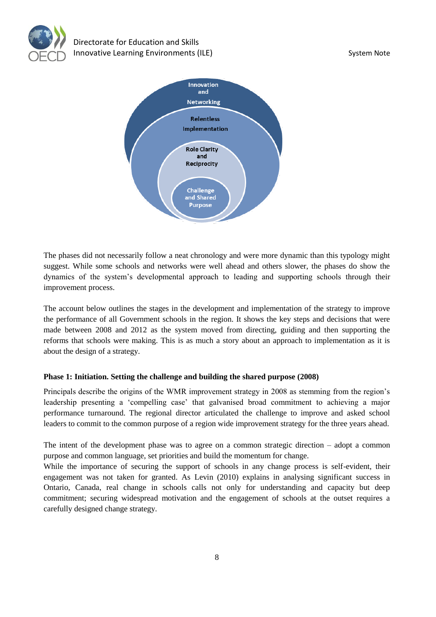



The phases did not necessarily follow a neat chronology and were more dynamic than this typology might suggest. While some schools and networks were well ahead and others slower, the phases do show the dynamics of the system's developmental approach to leading and supporting schools through their improvement process.

The account below outlines the stages in the development and implementation of the strategy to improve the performance of all Government schools in the region. It shows the key steps and decisions that were made between 2008 and 2012 as the system moved from directing, guiding and then supporting the reforms that schools were making. This is as much a story about an approach to implementation as it is about the design of a strategy.

# **Phase 1: Initiation. Setting the challenge and building the shared purpose (2008)**

Principals describe the origins of the WMR improvement strategy in 2008 as stemming from the region's leadership presenting a 'compelling case' that galvanised broad commitment to achieving a major performance turnaround. The regional director articulated the challenge to improve and asked school leaders to commit to the common purpose of a region wide improvement strategy for the three years ahead.

The intent of the development phase was to agree on a common strategic direction – adopt a common purpose and common language, set priorities and build the momentum for change.

While the importance of securing the support of schools in any change process is self-evident, their engagement was not taken for granted. As Levin (2010) explains in analysing significant success in Ontario, Canada, real change in schools calls not only for understanding and capacity but deep commitment; securing widespread motivation and the engagement of schools at the outset requires a carefully designed change strategy.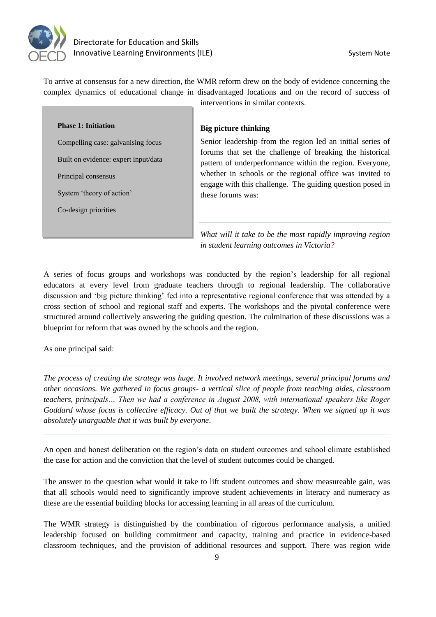

To arrive at consensus for a new direction, the WMR reform drew on the body of evidence concerning the complex dynamics of educational change in disadvantaged locations and on the record of success of interventions in similar contexts.

**Phase 1: Initiation** 

Compelling case: galvanising focus

Built on evidence: expert input/data

Principal consensus

System 'theory of action'

Co-design priorities

**Big picture thinking** 

Senior leadership from the region led an initial series of forums that set the challenge of breaking the historical pattern of underperformance within the region. Everyone, whether in schools or the regional office was invited to engage with this challenge. The guiding question posed in these forums was:

*What will it take to be the most rapidly improving region in student learning outcomes in Victoria?* 

A series of focus groups and workshops was conducted by the region's leadership for all regional educators at every level from graduate teachers through to regional leadership. The collaborative discussion and 'big picture thinking' fed into a representative regional conference that was attended by a cross section of school and regional staff and experts. The workshops and the pivotal conference were structured around collectively answering the guiding question. The culmination of these discussions was a blueprint for reform that was owned by the schools and the region.

As one principal said:

*The process of creating the strategy was huge. It involved network meetings, several principal forums and other occasions. We gathered in focus groups- a vertical slice of people from teaching aides, classroom teachers, principals… Then we had a conference in August 2008, with international speakers like Roger Goddard whose focus is collective efficacy. Out of that we built the strategy. When we signed up it was absolutely unarguable that it was built by everyone*.

An open and honest deliberation on the region's data on student outcomes and school climate established the case for action and the conviction that the level of student outcomes could be changed.

The answer to the question what would it take to lift student outcomes and show measureable gain, was that all schools would need to significantly improve student achievements in literacy and numeracy as these are the essential building blocks for accessing learning in all areas of the curriculum.

The WMR strategy is distinguished by the combination of rigorous performance analysis, a unified leadership focused on building commitment and capacity, training and practice in evidence-based classroom techniques, and the provision of additional resources and support. There was region wide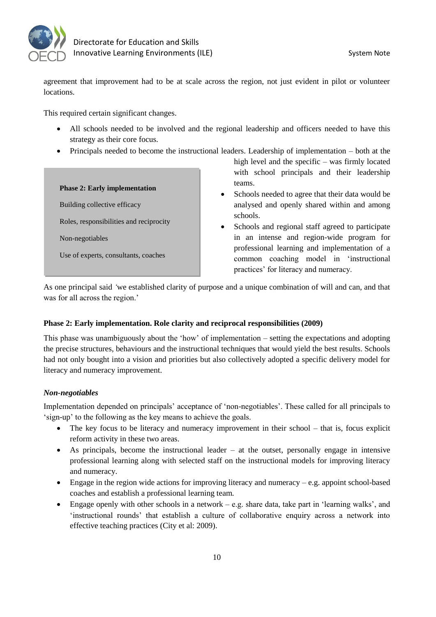

agreement that improvement had to be at scale across the region, not just evident in pilot or volunteer locations.

This required certain significant changes.

- All schools needed to be involved and the regional leadership and officers needed to have this strategy as their core focus.
- Principals needed to become the instructional leaders. Leadership of implementation both at the

#### **Phase 2: Early implementation**

Building collective efficacy

Roles, responsibilities and reciprocity

Non-negotiables

Use of experts, consultants, coaches

demonstrate, practice, and reflect.

- high level and the specific was firmly located with school principals and their leadership teams.
- Schools needed to agree that their data would be analysed and openly shared within and among schools.
- Schools and regional staff agreed to participate in an intense and region-wide program for professional learning and implementation of a common coaching model in 'instructional practices' for literacy and numeracy.

As one principal said *'*we established clarity of purpose and a unique combination of will and can, and that was for all across the region.'

# **Phase 2: Early implementation. Role clarity and reciprocal responsibilities (2009)**

This phase was unambiguously about the 'how' of implementation – setting the expectations and adopting the precise structures, behaviours and the instructional techniques that would yield the best results. Schools had not only bought into a vision and priorities but also collectively adopted a specific delivery model for literacy and numeracy improvement.

# *Non-negotiables*

Implementation depended on principals' acceptance of 'non-negotiables'. These called for all principals to 'sign-up' to the following as the key means to achieve the goals.

- The key focus to be literacy and numeracy improvement in their school that is, focus explicit reform activity in these two areas.
- As principals, become the instructional leader at the outset, personally engage in intensive professional learning along with selected staff on the instructional models for improving literacy and numeracy.
- **Engage in the region wide actions for improving literacy and numeracy e.g. appoint school-based** coaches and establish a professional learning team.
- **Engage openly with other schools in a network e.g. share data, take part in 'learning walks', and** 'instructional rounds' that establish a culture of collaborative enquiry across a network into effective teaching practices (City et al: 2009).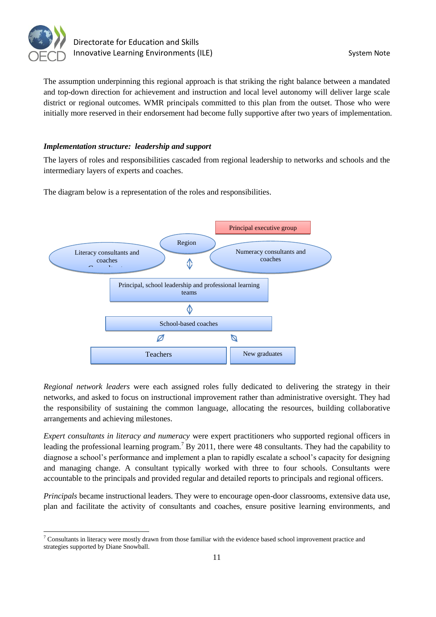

The assumption underpinning this regional approach is that striking the right balance between a mandated and top-down direction for achievement and instruction and local level autonomy will deliver large scale district or regional outcomes. WMR principals committed to this plan from the outset. Those who were initially more reserved in their endorsement had become fully supportive after two years of implementation.

# *Implementation structure: leadership and support*

The layers of roles and responsibilities cascaded from regional leadership to networks and schools and the intermediary layers of experts and coaches.

The diagram below is a representation of the roles and responsibilities.



*Regional network leaders* were each assigned roles fully dedicated to delivering the strategy in their networks, and asked to focus on instructional improvement rather than administrative oversight. They had the responsibility of sustaining the common language, allocating the resources, building collaborative arrangements and achieving milestones.

*Expert consultants in literacy and numeracy* were expert practitioners who supported regional officers in leading the professional learning program.<sup>7</sup> By 2011, there were 48 consultants. They had the capability to diagnose a school's performance and implement a plan to rapidly escalate a school's capacity for designing and managing change. A consultant typically worked with three to four schools. Consultants were accountable to the principals and provided regular and detailed reports to principals and regional officers.

*Principals* became instructional leaders. They were to encourage open-door classrooms, extensive data use, plan and facilitate the activity of consultants and coaches, ensure positive learning environments, and

  $7$  Consultants in literacy were mostly drawn from those familiar with the evidence based school improvement practice and strategies supported by Diane Snowball.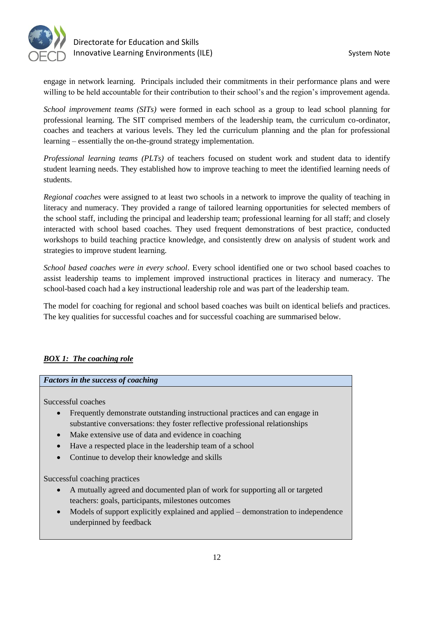

engage in network learning. Principals included their commitments in their performance plans and were willing to be held accountable for their contribution to their school's and the region's improvement agenda.

*School improvement teams (SITs)* were formed in each school as a group to lead school planning for professional learning. The SIT comprised members of the leadership team, the curriculum co-ordinator, coaches and teachers at various levels. They led the curriculum planning and the plan for professional learning – essentially the on-the-ground strategy implementation.

*Professional learning teams (PLTs)* of teachers focused on student work and student data to identify student learning needs. They established how to improve teaching to meet the identified learning needs of students.

*Regional coaches* were assigned to at least two schools in a network to improve the quality of teaching in literacy and numeracy. They provided a range of tailored learning opportunities for selected members of the school staff, including the principal and leadership team; professional learning for all staff; and closely interacted with school based coaches. They used frequent demonstrations of best practice, conducted workshops to build teaching practice knowledge, and consistently drew on analysis of student work and strategies to improve student learning.

*School based coaches were in every school*. Every school identified one or two school based coaches to assist leadership teams to implement improved instructional practices in literacy and numeracy. The school-based coach had a key instructional leadership role and was part of the leadership team.

The model for coaching for regional and school based coaches was built on identical beliefs and practices. The key qualities for successful coaches and for successful coaching are summarised below.

# *BOX 1: The coaching role*

#### *Factors in the success of coaching*

Successful coaches

- Frequently demonstrate outstanding instructional practices and can engage in substantive conversations: they foster reflective professional relationships
- Make extensive use of data and evidence in coaching
- Have a respected place in the leadership team of a school
- Continue to develop their knowledge and skills

Successful coaching practices

- A mutually agreed and documented plan of work for supporting all or targeted teachers: goals, participants, milestones outcomes
- Models of support explicitly explained and applied demonstration to independence underpinned by feedback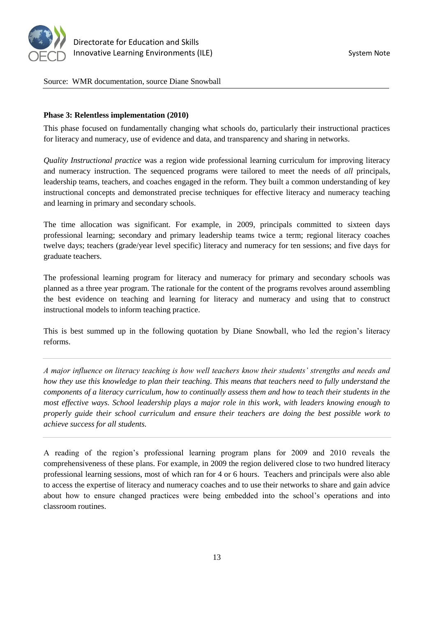

Source: WMR documentation, source Diane Snowball

#### **Phase 3: Relentless implementation (2010)**

This phase focused on fundamentally changing what schools do, particularly their instructional practices for literacy and numeracy, use of evidence and data, and transparency and sharing in networks.

*Quality Instructional practice* was a region wide professional learning curriculum for improving literacy and numeracy instruction. The sequenced programs were tailored to meet the needs of *all* principals, leadership teams, teachers, and coaches engaged in the reform. They built a common understanding of key instructional concepts and demonstrated precise techniques for effective literacy and numeracy teaching and learning in primary and secondary schools.

The time allocation was significant. For example, in 2009, principals committed to sixteen days professional learning; secondary and primary leadership teams twice a term; regional literacy coaches twelve days; teachers (grade/year level specific) literacy and numeracy for ten sessions; and five days for graduate teachers.

The professional learning program for literacy and numeracy for primary and secondary schools was planned as a three year program. The rationale for the content of the programs revolves around assembling the best evidence on teaching and learning for literacy and numeracy and using that to construct instructional models to inform teaching practice.

This is best summed up in the following quotation by Diane Snowball, who led the region's literacy reforms.

*A major influence on literacy teaching is how well teachers know their students' strengths and needs and how they use this knowledge to plan their teaching. This means that teachers need to fully understand the components of a literacy curriculum, how to continually assess them and how to teach their students in the most effective ways. School leadership plays a major role in this work, with leaders knowing enough to properly guide their school curriculum and ensure their teachers are doing the best possible work to achieve success for all students.*

A reading of the region's professional learning program plans for 2009 and 2010 reveals the comprehensiveness of these plans. For example, in 2009 the region delivered close to two hundred literacy professional learning sessions, most of which ran for 4 or 6 hours. Teachers and principals were also able to access the expertise of literacy and numeracy coaches and to use their networks to share and gain advice about how to ensure changed practices were being embedded into the school's operations and into classroom routines.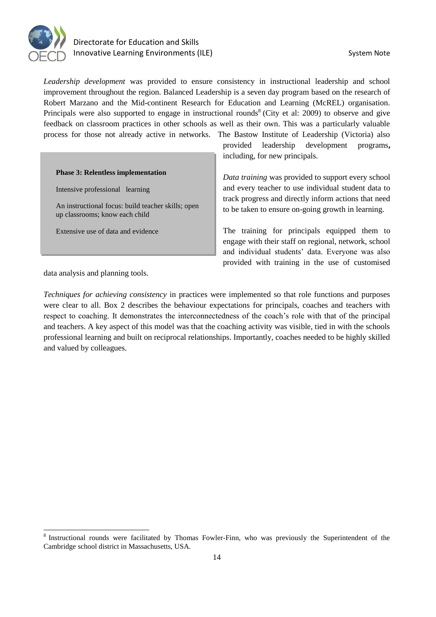

# Directorate for Education and Skills Innovative Learning Environments (ILE) System Note

*Leadership development* was provided to ensure consistency in instructional leadership and school improvement throughout the region. Balanced Leadership is a seven day program based on the research of Robert Marzano and the Mid-continent Research for Education and Learning (McREL) organisation. Principals were also supported to engage in instructional rounds<sup>8</sup> (City et al: 2009) to observe and give feedback on classroom practices in other schools as well as their own. This was a particularly valuable process for those not already active in networks. The Bastow Institute of Leadership (Victoria) also

#### **Phase 3: Relentless implementation**

Intensive professional learning

An instructional focus: build teacher skills; open up classrooms; know each child

Extensive use of data and evidence

provided leadership development programs**,**  including, for new principals.

*Data training* was provided to support every school and every teacher to use individual student data to track progress and directly inform actions that need to be taken to ensure on-going growth in learning.

The training for principals equipped them to engage with their staff on regional, network, school and individual students' data. Everyone was also provided with training in the use of customised

data analysis and planning tools.

*Techniques for achieving consistency* in practices were implemented so that role functions and purposes were clear to all. Box 2 describes the behaviour expectations for principals, coaches and teachers with respect to coaching. It demonstrates the interconnectedness of the coach's role with that of the principal and teachers. A key aspect of this model was that the coaching activity was visible, tied in with the schools professional learning and built on reciprocal relationships. Importantly, coaches needed to be highly skilled and valued by colleagues.

<sup>&</sup>lt;sup>8</sup> Instructional rounds were facilitated by Thomas Fowler-Finn, who was previously the Superintendent of the Cambridge school district in Massachusetts, USA.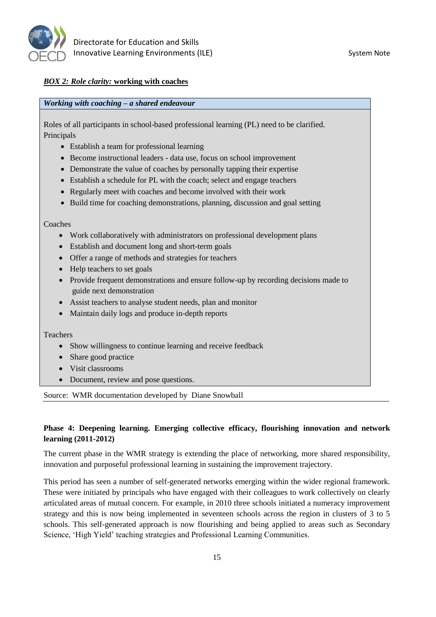

# *BOX 2: Role clarity:* **working with coaches**

### *Working with coaching – a shared endeavour*

Roles of all participants in school-based professional learning (PL) need to be clarified. Principals

- Establish a team for professional learning
- Become instructional leaders data use, focus on school improvement
- Demonstrate the value of coaches by personally tapping their expertise
- Establish a schedule for PL with the coach; select and engage teachers
- Regularly meet with coaches and become involved with their work
- Build time for coaching demonstrations, planning, discussion and goal setting

Coaches

- Work collaboratively with administrators on professional development plans
- Establish and document long and short-term goals
- Offer a range of methods and strategies for teachers
- Help teachers to set goals
- Provide frequent demonstrations and ensure follow-up by recording decisions made to guide next demonstration
- Assist teachers to analyse student needs, plan and monitor
- Maintain daily logs and produce in-depth reports

Teachers

- Show willingness to continue learning and receive feedback
- Share good practice
- Visit classrooms
- Document, review and pose questions.

Source: WMR documentation developed by Diane Snowball

# **Phase 4: Deepening learning. Emerging collective efficacy, flourishing innovation and network learning (2011-2012)**

The current phase in the WMR strategy is extending the place of networking, more shared responsibility, innovation and purposeful professional learning in sustaining the improvement trajectory.

This period has seen a number of self-generated networks emerging within the wider regional framework. These were initiated by principals who have engaged with their colleagues to work collectively on clearly articulated areas of mutual concern. For example, in 2010 three schools initiated a numeracy improvement strategy and this is now being implemented in seventeen schools across the region in clusters of 3 to 5 schools. This self-generated approach is now flourishing and being applied to areas such as Secondary Science, 'High Yield' teaching strategies and Professional Learning Communities.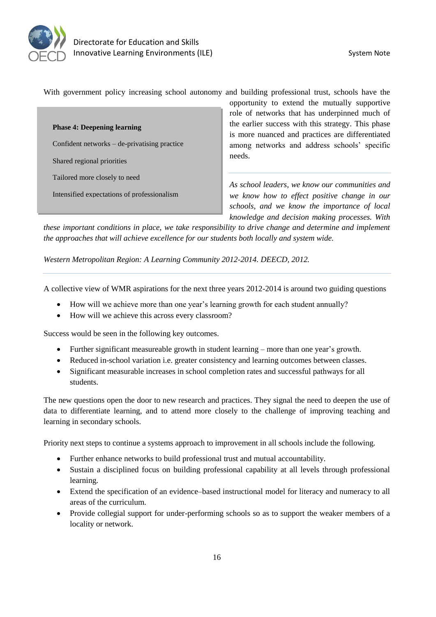

With government policy increasing school autonomy and building professional trust, schools have the

**Phase 4: Deepening learning** Confident networks – de-privatising practice Shared regional priorities Tailored more closely to need Intensified expectations of professionalism

opportunity to extend the mutually supportive role of networks that has underpinned much of the earlier success with this strategy. This phase is more nuanced and practices are differentiated among networks and address schools' specific needs.

*As school leaders, we know our communities and we know how to effect positive change in our schools, and we know the importance of local knowledge and decision making processes. With* 

*these important conditions in place, we take responsibility to drive change and determine and implement the approaches that will achieve excellence for our students both locally and system wide.* 

*Western Metropolitan Region: A Learning Community 2012-2014. DEECD, 2012.* 

A collective view of WMR aspirations for the next three years 2012-2014 is around two guiding questions

- How will we achieve more than one year's learning growth for each student annually?
- How will we achieve this across every classroom?

Success would be seen in the following key outcomes.

- Further significant measureable growth in student learning more than one year's growth.
- Reduced in-school variation i.e. greater consistency and learning outcomes between classes.
- Significant measurable increases in school completion rates and successful pathways for all students.

The new questions open the door to new research and practices. They signal the need to deepen the use of data to differentiate learning, and to attend more closely to the challenge of improving teaching and learning in secondary schools.

Priority next steps to continue a systems approach to improvement in all schools include the following.

- Further enhance networks to build professional trust and mutual accountability.
- Sustain a disciplined focus on building professional capability at all levels through professional learning.
- Extend the specification of an evidence–based instructional model for literacy and numeracy to all areas of the curriculum.
- Provide collegial support for under-performing schools so as to support the weaker members of a locality or network.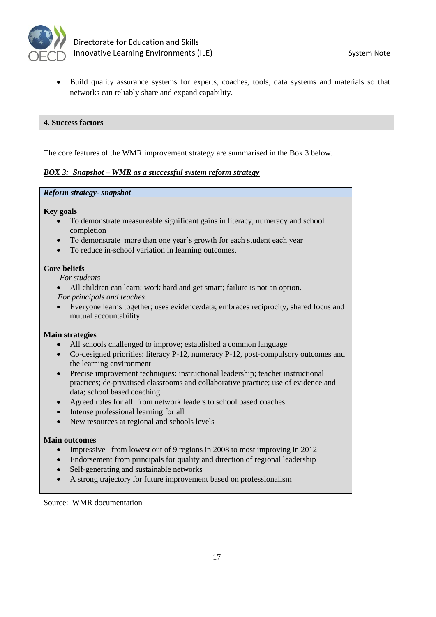

 Build quality assurance systems for experts, coaches, tools, data systems and materials so that networks can reliably share and expand capability.

#### **4. Success factors**

The core features of the WMR improvement strategy are summarised in the Box 3 below.

#### *BOX 3: Snapshot – WMR as a successful system reform strategy*

#### *Reform strategy- snapshot*

#### **Key goals**

- To demonstrate measureable significant gains in literacy, numeracy and school completion
- To demonstrate more than one year's growth for each student each year
- To reduce in-school variation in learning outcomes.

#### **Core beliefs**

 *For students*

- All children can learn; work hard and get smart; failure is not an option.  *For principals and teaches*
- Everyone learns together; uses evidence/data; embraces reciprocity, shared focus and mutual accountability.

#### **Main strategies**

- All schools challenged to improve; established a common language
- Co-designed priorities: literacy P-12, numeracy P-12, post-compulsory outcomes and the learning environment
- Precise improvement techniques: instructional leadership; teacher instructional practices; de-privatised classrooms and collaborative practice; use of evidence and data; school based coaching
- Agreed roles for all: from network leaders to school based coaches.
- Intense professional learning for all
- New resources at regional and schools levels

#### **Main outcomes**

- Impressive– from lowest out of 9 regions in 2008 to most improving in 2012
- Endorsement from principals for quality and direction of regional leadership
- Self-generating and sustainable networks
- A strong trajectory for future improvement based on professionalism

Source: WMR documentation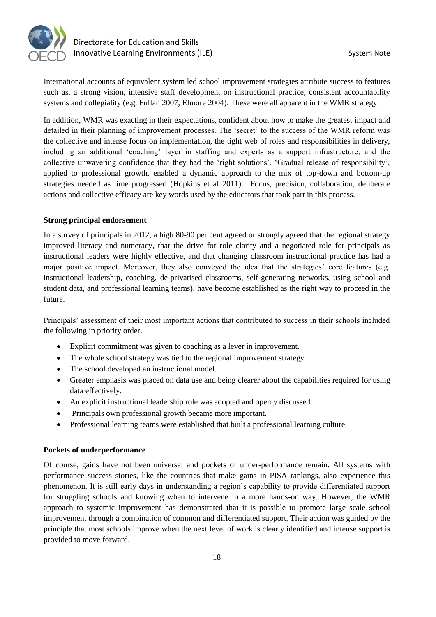

International accounts of equivalent system led school improvement strategies attribute success to features such as, a strong vision, intensive staff development on instructional practice, consistent accountability systems and collegiality (e.g. Fullan 2007; Elmore 2004). These were all apparent in the WMR strategy.

In addition, WMR was exacting in their expectations, confident about how to make the greatest impact and detailed in their planning of improvement processes. The 'secret' to the success of the WMR reform was the collective and intense focus on implementation, the tight web of roles and responsibilities in delivery, including an additional 'coaching' layer in staffing and experts as a support infrastructure; and the collective unwavering confidence that they had the 'right solutions'. 'Gradual release of responsibility', applied to professional growth, enabled a dynamic approach to the mix of top-down and bottom-up strategies needed as time progressed (Hopkins et al 2011). Focus, precision, collaboration, deliberate actions and collective efficacy are key words used by the educators that took part in this process.

### **Strong principal endorsement**

In a survey of principals in 2012, a high 80-90 per cent agreed or strongly agreed that the regional strategy improved literacy and numeracy, that the drive for role clarity and a negotiated role for principals as instructional leaders were highly effective, and that changing classroom instructional practice has had a major positive impact. Moreover, they also conveyed the idea that the strategies' core features (e.g. instructional leadership, coaching, de-privatised classrooms, self-generating networks, using school and student data, and professional learning teams), have become established as the right way to proceed in the future.

Principals' assessment of their most important actions that contributed to success in their schools included the following in priority order.

- Explicit commitment was given to coaching as a lever in improvement.
- The whole school strategy was tied to the regional improvement strategy..
- The school developed an instructional model.
- Greater emphasis was placed on data use and being clearer about the capabilities required for using data effectively.
- An explicit instructional leadership role was adopted and openly discussed.
- Principals own professional growth became more important.
- Professional learning teams were established that built a professional learning culture.

# **Pockets of underperformance**

Of course, gains have not been universal and pockets of under-performance remain. All systems with performance success stories, like the countries that make gains in PISA rankings, also experience this phenomenon. It is still early days in understanding a region's capability to provide differentiated support for struggling schools and knowing when to intervene in a more hands-on way. However, the WMR approach to systemic improvement has demonstrated that it is possible to promote large scale school improvement through a combination of common and differentiated support. Their action was guided by the principle that most schools improve when the next level of work is clearly identified and intense support is provided to move forward.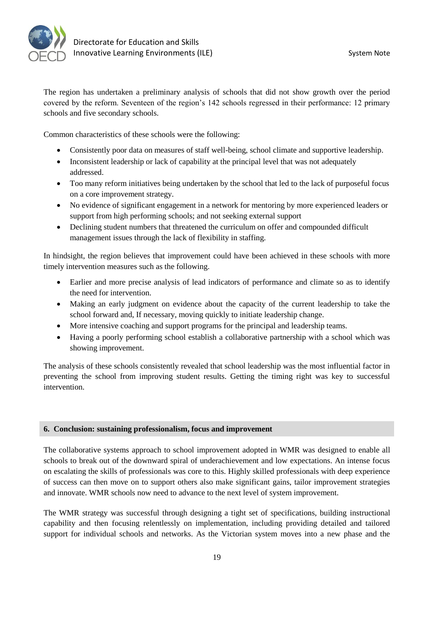

The region has undertaken a preliminary analysis of schools that did not show growth over the period covered by the reform. Seventeen of the region's 142 schools regressed in their performance: 12 primary schools and five secondary schools.

Common characteristics of these schools were the following:

- Consistently poor data on measures of staff well-being, school climate and supportive leadership.
- Inconsistent leadership or lack of capability at the principal level that was not adequately addressed.
- Too many reform initiatives being undertaken by the school that led to the lack of purposeful focus on a core improvement strategy.
- No evidence of significant engagement in a network for mentoring by more experienced leaders or support from high performing schools; and not seeking external support
- Declining student numbers that threatened the curriculum on offer and compounded difficult management issues through the lack of flexibility in staffing.

In hindsight, the region believes that improvement could have been achieved in these schools with more timely intervention measures such as the following.

- Earlier and more precise analysis of lead indicators of performance and climate so as to identify the need for intervention.
- Making an early judgment on evidence about the capacity of the current leadership to take the school forward and, If necessary, moving quickly to initiate leadership change.
- More intensive coaching and support programs for the principal and leadership teams.
- Having a poorly performing school establish a collaborative partnership with a school which was showing improvement.

The analysis of these schools consistently revealed that school leadership was the most influential factor in preventing the school from improving student results. Getting the timing right was key to successful intervention.

# **6. Conclusion: sustaining professionalism, focus and improvement**

The collaborative systems approach to school improvement adopted in WMR was designed to enable all schools to break out of the downward spiral of underachievement and low expectations. An intense focus on escalating the skills of professionals was core to this. Highly skilled professionals with deep experience of success can then move on to support others also make significant gains, tailor improvement strategies and innovate. WMR schools now need to advance to the next level of system improvement.

The WMR strategy was successful through designing a tight set of specifications, building instructional capability and then focusing relentlessly on implementation, including providing detailed and tailored support for individual schools and networks. As the Victorian system moves into a new phase and the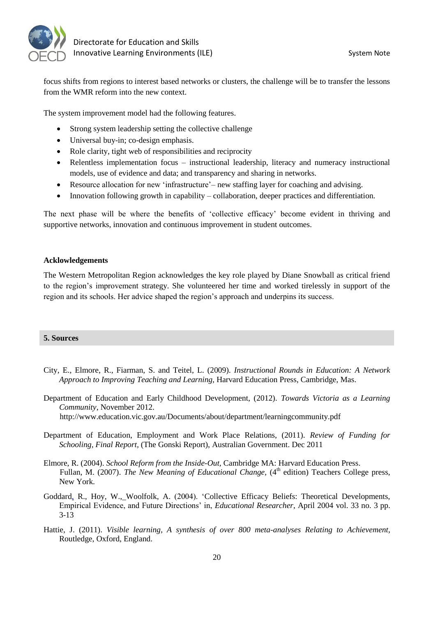

focus shifts from regions to interest based networks or clusters, the challenge will be to transfer the lessons from the WMR reform into the new context.

The system improvement model had the following features.

- Strong system leadership setting the collective challenge
- Universal buy-in; co-design emphasis.
- Role clarity, tight web of responsibilities and reciprocity
- Relentless implementation focus instructional leadership, literacy and numeracy instructional models, use of evidence and data; and transparency and sharing in networks.
- Resource allocation for new 'infrastructure'– new staffing layer for coaching and advising.
- Innovation following growth in capability collaboration, deeper practices and differentiation.

The next phase will be where the benefits of 'collective efficacy' become evident in thriving and supportive networks, innovation and continuous improvement in student outcomes.

#### **Acklowledgements**

The Western Metropolitan Region acknowledges the key role played by Diane Snowball as critical friend to the region's improvement strategy. She volunteered her time and worked tirelessly in support of the region and its schools. Her advice shaped the region's approach and underpins its success.

#### **5. Sources**

- City, E., Elmore, R., Fiarman, S. and Teitel, L. (2009). *Instructional Rounds in Education: A Network Approach to Improving Teaching and Learning*, Harvard Education Press, Cambridge, Mas.
- Department of Education and Early Childhood Development, (2012). *Towards Victoria as a Learning Community*, November 2012. http://www.education.vic.gov.au/Documents/about/department/learningcommunity.pdf
- Department of Education, Employment and Work Place Relations, (2011). *Review of Funding for Schooling, Final Report,* (The Gonski Report), Australian Government. Dec 2011
- Elmore, R. (2004). *School Reform from the Inside-Out,* Cambridge MA: Harvard Education Press. Fullan, M. (2007). *The New Meaning of Educational Change*, (4<sup>th</sup> edition) Teachers College press, New York.
- Goddard, R., Hoy, W.[,](http://edr.sagepub.com/search?author1=Anita+Woolfolk+Hoy&sortspec=date&submit=Submit) Woolfolk, A. (2004). 'Collective Efficacy Beliefs: Theoretical Developments, Empirical Evidence, and Future Directions' in, *Educational Researcher*, April 2004 vol. 33 no. 3 pp. 3-13
- Hattie, J. (2011). *Visible learning, A synthesis of over 800 meta-analyses Relating to Achievement,* Routledge, Oxford, England.